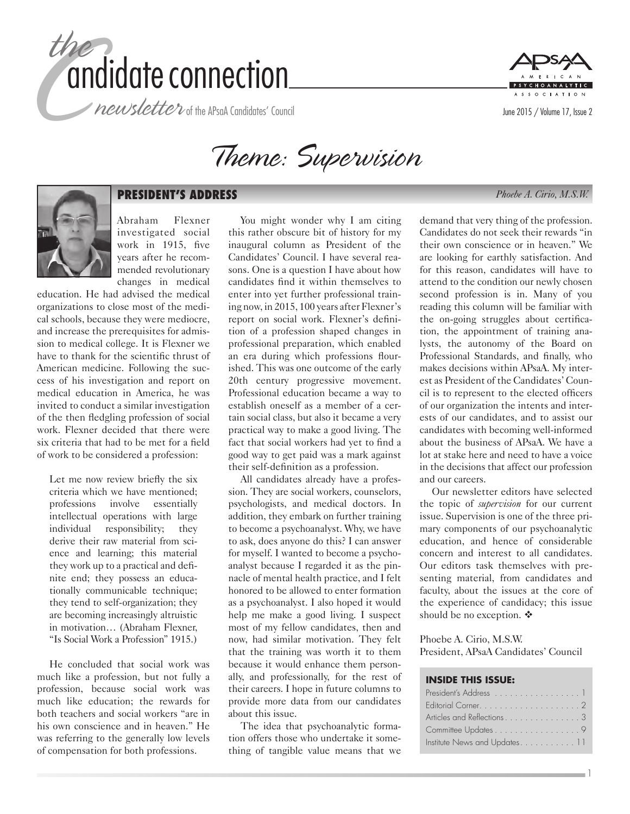





# **PRESIDENT'S ADDRESS** *Phoebe A. Cirio, M.S.W.*

Abraham Flexner investigated social work in 1915, five years after he recommended revolutionary changes in medical

education. He had advised the medical organizations to close most of the medical schools, because they were mediocre, and increase the prerequisites for admission to medical college. It is Flexner we have to thank for the scientific thrust of American medicine. Following the success of his investigation and report on medical education in America, he was invited to conduct a similar investigation of the then fledgling profession of social work. Flexner decided that there were six criteria that had to be met for a field of work to be considered a profession:

Let me now review briefly the six criteria which we have mentioned; professions involve essentially intellectual operations with large individual responsibility; they derive their raw material from science and learning; this material they work up to a practical and definite end; they possess an educationally communicable technique; they tend to self-organization; they are becoming increasingly altruistic in motivation… (Abraham Flexner, "Is Social Work a Profession" 1915.)

He concluded that social work was much like a profession, but not fully a profession, because social work was much like education; the rewards for both teachers and social workers "are in his own conscience and in heaven." He was referring to the generally low levels of compensation for both professions.

You might wonder why I am citing this rather obscure bit of history for my inaugural column as President of the Candidates' Council. I have several reasons. One is a question I have about how candidates find it within themselves to enter into yet further professional training now, in 2015, 100 years after Flexner's report on social work. Flexner's definition of a profession shaped changes in professional preparation, which enabled an era during which professions flourished. This was one outcome of the early 20th century progressive movement. Professional education became a way to establish oneself as a member of a certain social class, but also it became a very practical way to make a good living. The fact that social workers had yet to find a good way to get paid was a mark against their self-definition as a profession.

All candidates already have a profession. They are social workers, counselors, psychologists, and medical doctors. In addition, they embark on further training to become a psychoanalyst. Why, we have to ask, does anyone do this? I can answer for myself. I wanted to become a psychoanalyst because I regarded it as the pinnacle of mental health practice, and I felt honored to be allowed to enter formation as a psychoanalyst. I also hoped it would help me make a good living. I suspect most of my fellow candidates, then and now, had similar motivation. They felt that the training was worth it to them because it would enhance them personally, and professionally, for the rest of their careers. I hope in future columns to provide more data from our candidates about this issue.

The idea that psychoanalytic formation offers those who undertake it something of tangible value means that we

demand that very thing of the profession. Candidates do not seek their rewards "in their own conscience or in heaven." We are looking for earthly satisfaction. And for this reason, candidates will have to attend to the condition our newly chosen second profession is in. Many of you reading this column will be familiar with the on-going struggles about certification, the appointment of training analysts, the autonomy of the Board on Professional Standards, and finally, who makes decisions within APsaA. My interest as President of the Candidates' Council is to represent to the elected officers of our organization the intents and interests of our candidates, and to assist our candidates with becoming well-informed about the business of APsaA. We have a lot at stake here and need to have a voice in the decisions that affect our profession and our careers.

Our newsletter editors have selected the topic of *supervision* for our current issue. Supervision is one of the three primary components of our psychoanalytic education, and hence of considerable concern and interest to all candidates. Our editors task themselves with presenting material, from candidates and faculty, about the issues at the core of the experience of candidacy; this issue should be no exception.  $\triangle$ 

Phoebe A. Cirio, M.S.W. President, APsaA Candidates' Council

#### **INSIDE THIS ISSUE:**

| President's Address 1        |
|------------------------------|
|                              |
| Articles and Reflections3    |
| Committee Updates 9          |
| Institute News and Updates11 |

1

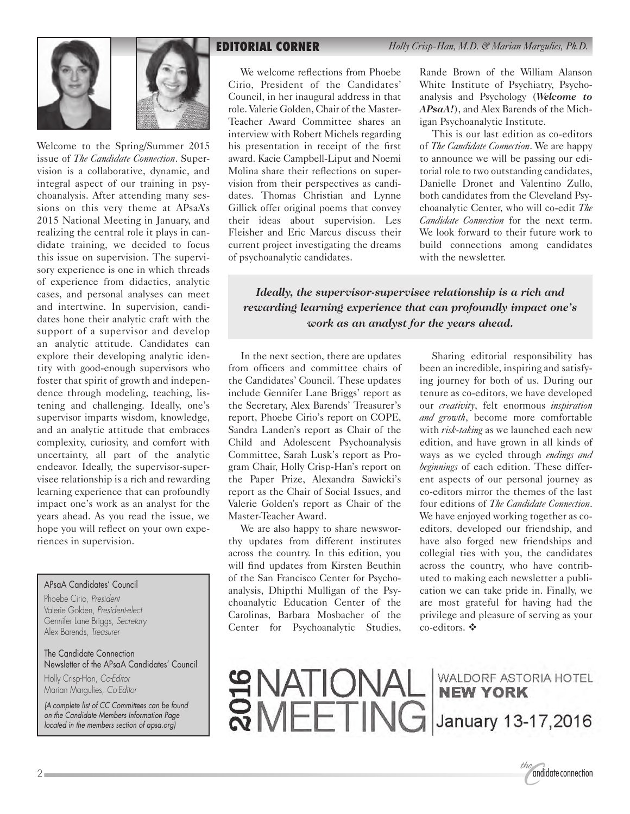



Welcome to the Spring/Summer 2015 issue of *The Candidate Connection*. Supervision is a collaborative, dynamic, and integral aspect of our training in psychoanalysis. After attending many sessions on this very theme at APsaA's 2015 National Meeting in January, and realizing the central role it plays in candidate training, we decided to focus this issue on supervision. The supervisory experience is one in which threads of experience from didactics, analytic cases, and personal analyses can meet and intertwine. In supervision, candidates hone their analytic craft with the support of a supervisor and develop an analytic attitude. Candidates can explore their developing analytic identity with good-enough supervisors who foster that spirit of growth and independence through modeling, teaching, listening and challenging. Ideally, one's supervisor imparts wisdom, knowledge, and an analytic attitude that embraces complexity, curiosity, and comfort with uncertainty, all part of the analytic endeavor. Ideally, the supervisor-supervisee relationship is a rich and rewarding learning experience that can profoundly impact one's work as an analyst for the years ahead. As you read the issue, we hope you will reflect on your own experiences in supervision.

#### APsaA Candidates' Council

Phoebe Cirio, *President* Valerie Golden, *President-elect* Gennifer Lane Briggs, *Secretary* Alex Barends, *Treasurer*

The Candidate Connection Newsletter of the APsaA Candidates' Council

Holly Crisp-Han, *Co-Editor* Marian Margulies, *Co-Editor*

*(A complete list of CC Committees can be found on the Candidate Members Information Page located in the members section of apsa.org)*

We welcome reflections from Phoebe Cirio, President of the Candidates' Council, in her inaugural address in that role. Valerie Golden, Chair of the Master-Teacher Award Committee shares an interview with Robert Michels regarding his presentation in receipt of the first award. Kacie Campbell-Liput and Noemi Molina share their reflections on supervision from their perspectives as candidates. Thomas Christian and Lynne Gillick offer original poems that convey their ideas about supervision. Les Fleisher and Eric Marcus discuss their current project investigating the dreams of psychoanalytic candidates.

Rande Brown of the William Alanson White Institute of Psychiatry, Psychoanalysis and Psychology (*Welcome to APsaA!*), and Alex Barends of the Michigan Psychoanalytic Institute.

This is our last edition as co-editors of *The Candidate Connection*. We are happy to announce we will be passing our editorial role to two outstanding candidates, Danielle Dronet and Valentino Zullo, both candidates from the Cleveland Psychoanalytic Center, who will co-edit *The Candidate Connection* for the next term. We look forward to their future work to build connections among candidates with the newsletter.

*Ideally, the supervisor-supervisee relationship is a rich and rewarding learning experience that can profoundly impact one's work as an analyst for the years ahead.*

In the next section, there are updates from officers and committee chairs of the Candidates' Council. These updates include Gennifer Lane Briggs' report as the Secretary, Alex Barends' Treasurer's report, Phoebe Cirio's report on COPE, Sandra Landen's report as Chair of the Child and Adolescent Psychoanalysis Committee, Sarah Lusk's report as Program Chair, Holly Crisp-Han's report on the Paper Prize, Alexandra Sawicki's report as the Chair of Social Issues, and Valerie Golden's report as Chair of the Master-Teacher Award.

We are also happy to share newsworthy updates from different institutes across the country. In this edition, you will find updates from Kirsten Beuthin of the San Francisco Center for Psychoanalysis, Dhipthi Mulligan of the Psychoanalytic Education Center of the Carolinas, Barbara Mosbacher of the Center for Psychoanalytic Studies,

Sharing editorial responsibility has been an incredible, inspiring and satisfying journey for both of us. During our tenure as co-editors, we have developed our *creativity*, felt enormous *inspiration and growth*, become more comfortable with *risk-taking* as we launched each new edition, and have grown in all kinds of ways as we cycled through *endings and beginnings* of each edition. These different aspects of our personal journey as co-editors mirror the themes of the last four editions of *The Candidate Connection*. We have enjoyed working together as coeditors, developed our friendship, and have also forged new friendships and collegial ties with you, the candidates across the country, who have contributed to making each newsletter a publication we can take pride in. Finally, we are most grateful for having had the privilege and pleasure of serving as your co-editors.  $\mathbf{\hat{v}}$ 

SUATIONAL WALDORF ASTORIA HOTEL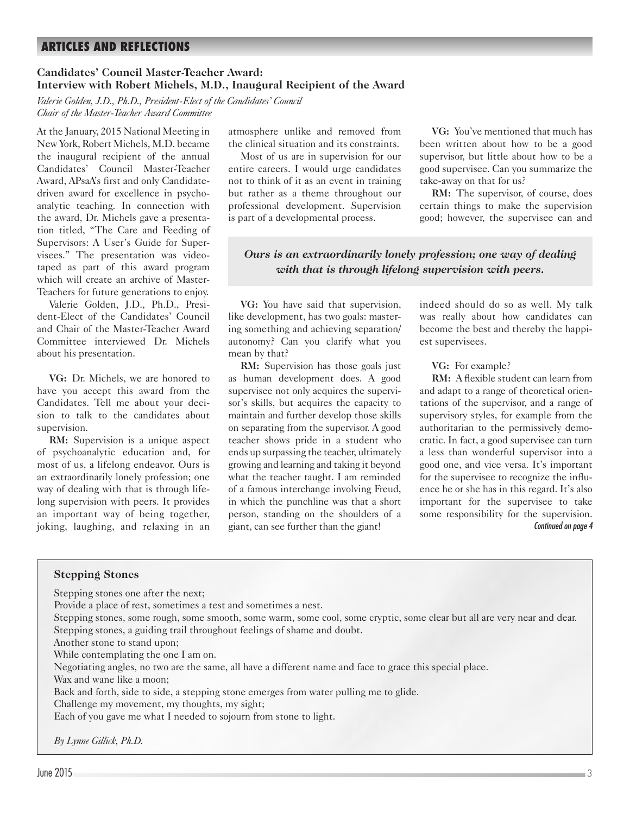# **ARTICLES AND REFLECTIONS**

#### **Candidates' Council Master-Teacher Award: Interview with Robert Michels, M.D., Inaugural Recipient of the Award**

*Valerie Golden, J.D., Ph.D., President-Elect of the Candidates' Council Chair of the Master-Teacher Award Committee*

At the January, 2015 National Meeting in New York, Robert Michels, M.D. became the inaugural recipient of the annual Candidates' Council Master-Teacher Award, APsaA's first and only Candidatedriven award for excellence in psychoanalytic teaching. In connection with the award, Dr. Michels gave a presentation titled, "The Care and Feeding of Supervisors: A User's Guide for Supervisees." The presentation was videotaped as part of this award program which will create an archive of Master-Teachers for future generations to enjoy.

Valerie Golden, J.D., Ph.D., President-Elect of the Candidates' Council and Chair of the Master-Teacher Award Committee interviewed Dr. Michels about his presentation.

**VG:** Dr. Michels, we are honored to have you accept this award from the Candidates. Tell me about your decision to talk to the candidates about supervision.

**RM:** Supervision is a unique aspect of psychoanalytic education and, for most of us, a lifelong endeavor. Ours is an extraordinarily lonely profession; one way of dealing with that is through lifelong supervision with peers. It provides an important way of being together, joking, laughing, and relaxing in an atmosphere unlike and removed from the clinical situation and its constraints.

Most of us are in supervision for our entire careers. I would urge candidates not to think of it as an event in training but rather as a theme throughout our professional development. Supervision is part of a developmental process.

**VG:** You've mentioned that much has been written about how to be a good supervisor, but little about how to be a good supervisee. Can you summarize the take-away on that for us?

**RM:** The supervisor, of course, does certain things to make the supervision good; however, the supervisee can and

# *Ours is an extraordinarily lonely profession; one way of dealing with that is through lifelong supervision with peers.*

**VG:** You have said that supervision, like development, has two goals: mastering something and achieving separation/ autonomy? Can you clarify what you mean by that?

**RM:** Supervision has those goals just as human development does. A good supervisee not only acquires the supervisor's skills, but acquires the capacity to maintain and further develop those skills on separating from the supervisor. A good teacher shows pride in a student who ends up surpassing the teacher, ultimately growing and learning and taking it beyond what the teacher taught. I am reminded of a famous interchange involving Freud, in which the punchline was that a short person, standing on the shoulders of a giant, can see further than the giant!

indeed should do so as well. My talk was really about how candidates can become the best and thereby the happiest supervisees.

**VG:** For example?

**RM:** A flexible student can learn from and adapt to a range of theoretical orientations of the supervisor, and a range of supervisory styles, for example from the authoritarian to the permissively democratic. In fact, a good supervisee can turn a less than wonderful supervisor into a good one, and vice versa. It's important for the supervisee to recognize the influence he or she has in this regard. It's also important for the supervisee to take some responsibility for the supervision. *Continued on page 4*

#### **Stepping Stones**

Stepping stones one after the next;

Provide a place of rest, sometimes a test and sometimes a nest.

Stepping stones, some rough, some smooth, some warm, some cool, some cryptic, some clear but all are very near and dear. Stepping stones, a guiding trail throughout feelings of shame and doubt.

Another stone to stand upon;

While contemplating the one I am on.

Negotiating angles, no two are the same, all have a different name and face to grace this special place.

Wax and wane like a moon;

Back and forth, side to side, a stepping stone emerges from water pulling me to glide.

Challenge my movement, my thoughts, my sight;

Each of you gave me what I needed to sojourn from stone to light.

*By Lynne Gillick, Ph.D.*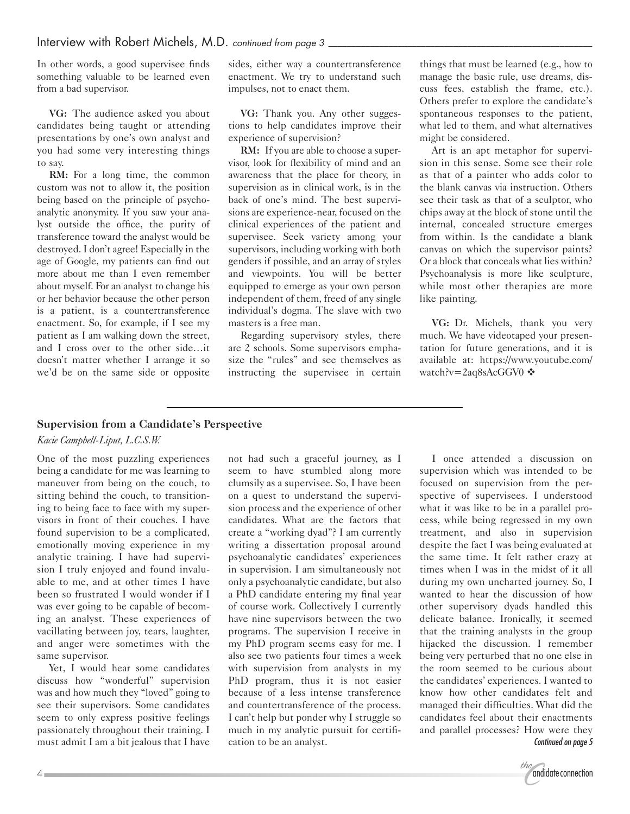In other words, a good supervisee finds something valuable to be learned even from a bad supervisor.

**VG:** The audience asked you about candidates being taught or attending presentations by one's own analyst and you had some very interesting things to say.

**RM:** For a long time, the common custom was not to allow it, the position being based on the principle of psychoanalytic anonymity. If you saw your analyst outside the office, the purity of transference toward the analyst would be destroyed. I don't agree! Especially in the age of Google, my patients can find out more about me than I even remember about myself. For an analyst to change his or her behavior because the other person is a patient, is a countertransference enactment. So, for example, if I see my patient as I am walking down the street, and I cross over to the other side…it doesn't matter whether I arrange it so we'd be on the same side or opposite sides, either way a countertransference enactment. We try to understand such impulses, not to enact them.

**VG:** Thank you. Any other suggestions to help candidates improve their experience of supervision?

**RM:** If you are able to choose a supervisor, look for flexibility of mind and an awareness that the place for theory, in supervision as in clinical work, is in the back of one's mind. The best supervisions are experience-near, focused on the clinical experiences of the patient and supervisee. Seek variety among your supervisors, including working with both genders if possible, and an array of styles and viewpoints. You will be better equipped to emerge as your own person independent of them, freed of any single individual's dogma. The slave with two masters is a free man.

Regarding supervisory styles, there are 2 schools. Some supervisors emphasize the "rules" and see themselves as instructing the supervisee in certain things that must be learned (e.g., how to manage the basic rule, use dreams, discuss fees, establish the frame, etc.). Others prefer to explore the candidate's spontaneous responses to the patient, what led to them, and what alternatives might be considered.

Art is an apt metaphor for supervision in this sense. Some see their role as that of a painter who adds color to the blank canvas via instruction. Others see their task as that of a sculptor, who chips away at the block of stone until the internal, concealed structure emerges from within. Is the candidate a blank canvas on which the supervisor paints? Or a block that conceals what lies within? Psychoanalysis is more like sculpture, while most other therapies are more like painting.

**VG:** Dr. Michels, thank you very much. We have videotaped your presentation for future generations, and it is available at: https://www.youtube.com/ watch?v=2aq8sAcGGV0 �

#### **Supervision from a Candidate's Perspective**

#### *Kacie Campbell-Liput, L.C.S.W.*

One of the most puzzling experiences being a candidate for me was learning to maneuver from being on the couch, to sitting behind the couch, to transitioning to being face to face with my supervisors in front of their couches. I have found supervision to be a complicated, emotionally moving experience in my analytic training. I have had supervision I truly enjoyed and found invaluable to me, and at other times I have been so frustrated I would wonder if I was ever going to be capable of becoming an analyst. These experiences of vacillating between joy, tears, laughter, and anger were sometimes with the same supervisor.

Yet, I would hear some candidates discuss how "wonderful" supervision was and how much they "loved" going to see their supervisors. Some candidates seem to only express positive feelings passionately throughout their training. I must admit I am a bit jealous that I have

not had such a graceful journey, as I seem to have stumbled along more clumsily as a supervisee. So, I have been on a quest to understand the supervision process and the experience of other candidates. What are the factors that create a "working dyad"? I am currently writing a dissertation proposal around psychoanalytic candidates' experiences in supervision. I am simultaneously not only a psychoanalytic candidate, but also a PhD candidate entering my final year of course work. Collectively I currently have nine supervisors between the two programs. The supervision I receive in my PhD program seems easy for me. I also see two patients four times a week with supervision from analysts in my PhD program, thus it is not easier because of a less intense transference and countertransference of the process. I can't help but ponder why I struggle so much in my analytic pursuit for certification to be an analyst.

I once attended a discussion on supervision which was intended to be focused on supervision from the perspective of supervisees. I understood what it was like to be in a parallel process, while being regressed in my own treatment, and also in supervision despite the fact I was being evaluated at the same time. It felt rather crazy at times when I was in the midst of it all during my own uncharted journey. So, I wanted to hear the discussion of how other supervisory dyads handled this delicate balance. Ironically, it seemed that the training analysts in the group hijacked the discussion. I remember being very perturbed that no one else in the room seemed to be curious about the candidates' experiences. I wanted to know how other candidates felt and managed their difficulties. What did the candidates feel about their enactments and parallel processes? How were they *Continued on page 5*

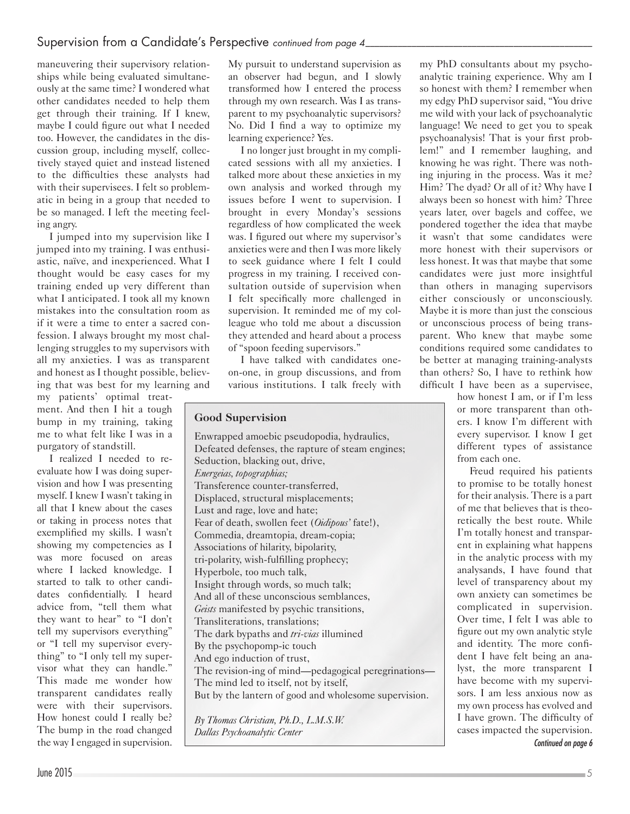# Supervision from a Candidate's Perspective *continued from page 4*

maneuvering their supervisory relationships while being evaluated simultaneously at the same time? I wondered what other candidates needed to help them get through their training. If I knew, maybe I could figure out what I needed too. However, the candidates in the discussion group, including myself, collectively stayed quiet and instead listened to the difficulties these analysts had with their supervisees. I felt so problematic in being in a group that needed to be so managed. I left the meeting feeling angry.

I jumped into my supervision like I jumped into my training. I was enthusiastic, naïve, and inexperienced. What I thought would be easy cases for my training ended up very different than what I anticipated. I took all my known mistakes into the consultation room as if it were a time to enter a sacred confession. I always brought my most challenging struggles to my supervisors with all my anxieties. I was as transparent and honest as I thought possible, believing that was best for my learning and

my patients' optimal treatment. And then I hit a tough bump in my training, taking me to what felt like I was in a purgatory of standstill.

I realized I needed to reevaluate how I was doing supervision and how I was presenting myself. I knew I wasn't taking in all that I knew about the cases or taking in process notes that exemplified my skills. I wasn't showing my competencies as I was more focused on areas where I lacked knowledge. I started to talk to other candidates confidentially. I heard advice from, "tell them what they want to hear" to "I don't tell my supervisors everything" or "I tell my supervisor everything" to "I only tell my supervisor what they can handle." This made me wonder how transparent candidates really were with their supervisors. How honest could I really be? The bump in the road changed the way I engaged in supervision.

My pursuit to understand supervision as an observer had begun, and I slowly transformed how I entered the process through my own research. Was I as transparent to my psychoanalytic supervisors? No. Did I find a way to optimize my learning experience? Yes.

I no longer just brought in my complicated sessions with all my anxieties. I talked more about these anxieties in my own analysis and worked through my issues before I went to supervision. I brought in every Monday's sessions regardless of how complicated the week was. I figured out where my supervisor's anxieties were and then I was more likely to seek guidance where I felt I could progress in my training. I received consultation outside of supervision when I felt specifically more challenged in supervision. It reminded me of my colleague who told me about a discussion they attended and heard about a process of "spoon feeding supervisors."

I have talked with candidates oneon-one, in group discussions, and from various institutions. I talk freely with

#### **Good Supervision**

Enwrapped amoebic pseudopodia, hydraulics, Defeated defenses, the rapture of steam engines; Seduction, blacking out, drive, *Energeias, topographias;* Transference counter-transferred, Displaced, structural misplacements; Lust and rage, love and hate; Fear of death, swollen feet (*Oidipous'* fate!), Commedia, dreamtopia, dream-copia; Associations of hilarity, bipolarity, tri-polarity, wish-fulfilling prophecy; Hyperbole, too much talk, Insight through words, so much talk; And all of these unconscious semblances, *Geists* manifested by psychic transitions, Transliterations, translations; The dark bypaths and *tri-vias* illumined By the psychopomp-ic touch And ego induction of trust, The revision-ing of mind—pedagogical peregrinations— The mind led to itself, not by itself, But by the lantern of good and wholesome supervision.

*By Thomas Christian, Ph.D., L.M.S.W. Dallas Psychoanalytic Center*

my PhD consultants about my psychoanalytic training experience. Why am I so honest with them? I remember when my edgy PhD supervisor said, "You drive me wild with your lack of psychoanalytic language! We need to get you to speak psychoanalysis! That is your first problem!" and I remember laughing, and knowing he was right. There was nothing injuring in the process. Was it me? Him? The dyad? Or all of it? Why have I always been so honest with him? Three years later, over bagels and coffee, we pondered together the idea that maybe it wasn't that some candidates were more honest with their supervisors or less honest. It was that maybe that some candidates were just more insightful than others in managing supervisors either consciously or unconsciously. Maybe it is more than just the conscious or unconscious process of being transparent. Who knew that maybe some conditions required some candidates to be better at managing training-analysts than others? So, I have to rethink how difficult I have been as a supervisee,

how honest I am, or if I'm less or more transparent than others. I know I'm different with every supervisor. I know I get different types of assistance from each one.

Freud required his patients to promise to be totally honest for their analysis. There is a part of me that believes that is theoretically the best route. While I'm totally honest and transparent in explaining what happens in the analytic process with my analysands, I have found that level of transparency about my own anxiety can sometimes be complicated in supervision. Over time, I felt I was able to figure out my own analytic style and identity. The more confident I have felt being an analyst, the more transparent I have become with my supervisors. I am less anxious now as my own process has evolved and I have grown. The difficulty of cases impacted the supervision. *Continued on page 6*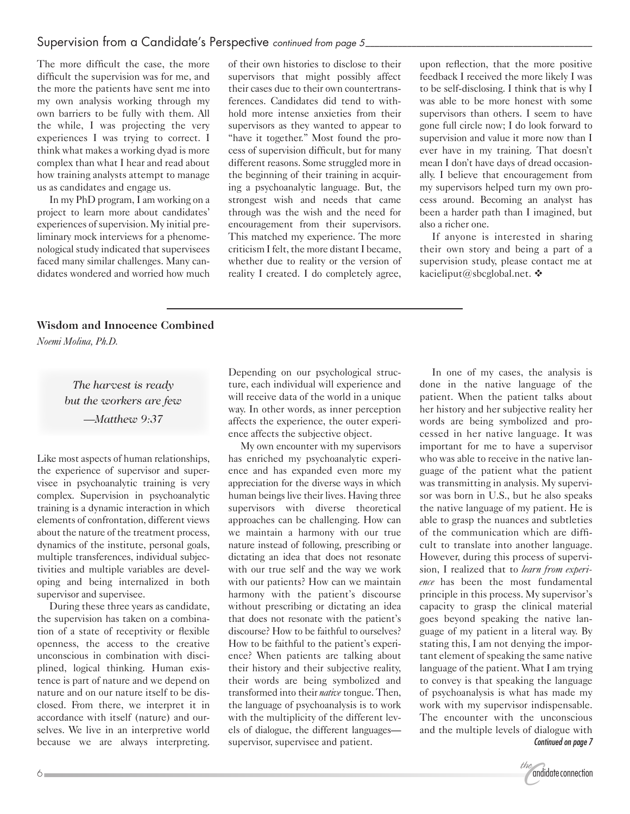## Supervision from a Candidate's Perspective *continued from page 5\_\_\_\_\_\_\_\_\_\_\_\_\_\_\_\_\_\_\_\_\_\_\_\_\_\_\_\_\_\_\_\_\_\_\_\_\_\_\_\_\_\_\_\_\_\_\_\_\_*

The more difficult the case, the more difficult the supervision was for me, and the more the patients have sent me into my own analysis working through my own barriers to be fully with them. All the while, I was projecting the very experiences I was trying to correct. I think what makes a working dyad is more complex than what I hear and read about how training analysts attempt to manage us as candidates and engage us.

In my PhD program, I am working on a project to learn more about candidates' experiences of supervision. My initial preliminary mock interviews for a phenomenological study indicated that supervisees faced many similar challenges. Many candidates wondered and worried how much

of their own histories to disclose to their supervisors that might possibly affect their cases due to their own countertransferences. Candidates did tend to withhold more intense anxieties from their supervisors as they wanted to appear to "have it together." Most found the process of supervision difficult, but for many different reasons. Some struggled more in the beginning of their training in acquiring a psychoanalytic language. But, the strongest wish and needs that came through was the wish and the need for encouragement from their supervisors. This matched my experience. The more criticism I felt, the more distant I became, whether due to reality or the version of reality I created. I do completely agree,

upon reflection, that the more positive feedback I received the more likely I was to be self-disclosing. I think that is why I was able to be more honest with some supervisors than others. I seem to have gone full circle now; I do look forward to supervision and value it more now than I ever have in my training. That doesn't mean I don't have days of dread occasionally. I believe that encouragement from my supervisors helped turn my own process around. Becoming an analyst has been a harder path than I imagined, but also a richer one.

If anyone is interested in sharing their own story and being a part of a supervision study, please contact me at kacieliput@sbcglobal.net.  $\mathbf{\hat{v}}$ 

#### **Wisdom and Innocence Combined**

*Noemi Molina, Ph.D.*

*The harvest is ready but the workers are few —Matthew 9:37*

Like most aspects of human relationships, the experience of supervisor and supervisee in psychoanalytic training is very complex. Supervision in psychoanalytic training is a dynamic interaction in which elements of confrontation, different views about the nature of the treatment process, dynamics of the institute, personal goals, multiple transferences, individual subjectivities and multiple variables are developing and being internalized in both supervisor and supervisee.

During these three years as candidate, the supervision has taken on a combination of a state of receptivity or flexible openness, the access to the creative unconscious in combination with disciplined, logical thinking. Human existence is part of nature and we depend on nature and on our nature itself to be disclosed. From there, we interpret it in accordance with itself (nature) and ourselves. We live in an interpretive world because we are always interpreting.

Depending on our psychological structure, each individual will experience and will receive data of the world in a unique way. In other words, as inner perception affects the experience, the outer experience affects the subjective object.

My own encounter with my supervisors has enriched my psychoanalytic experience and has expanded even more my appreciation for the diverse ways in which human beings live their lives. Having three supervisors with diverse theoretical approaches can be challenging. How can we maintain a harmony with our true nature instead of following, prescribing or dictating an idea that does not resonate with our true self and the way we work with our patients? How can we maintain harmony with the patient's discourse without prescribing or dictating an idea that does not resonate with the patient's discourse? How to be faithful to ourselves? How to be faithful to the patient's experience? When patients are talking about their history and their subjective reality, their words are being symbolized and transformed into their *native* tongue. Then, the language of psychoanalysis is to work with the multiplicity of the different levels of dialogue, the different languages supervisor, supervisee and patient.

In one of my cases, the analysis is done in the native language of the patient. When the patient talks about her history and her subjective reality her words are being symbolized and processed in her native language. It was important for me to have a supervisor who was able to receive in the native language of the patient what the patient was transmitting in analysis. My supervisor was born in U.S., but he also speaks the native language of my patient. He is able to grasp the nuances and subtleties of the communication which are difficult to translate into another language. However, during this process of supervision, I realized that to *learn from experience* has been the most fundamental principle in this process. My supervisor's capacity to grasp the clinical material goes beyond speaking the native language of my patient in a literal way. By stating this, I am not denying the important element of speaking the same native language of the patient. What I am trying to convey is that speaking the language of psychoanalysis is what has made my work with my supervisor indispensable. The encounter with the unconscious and the multiple levels of dialogue with *Continued on page 7*

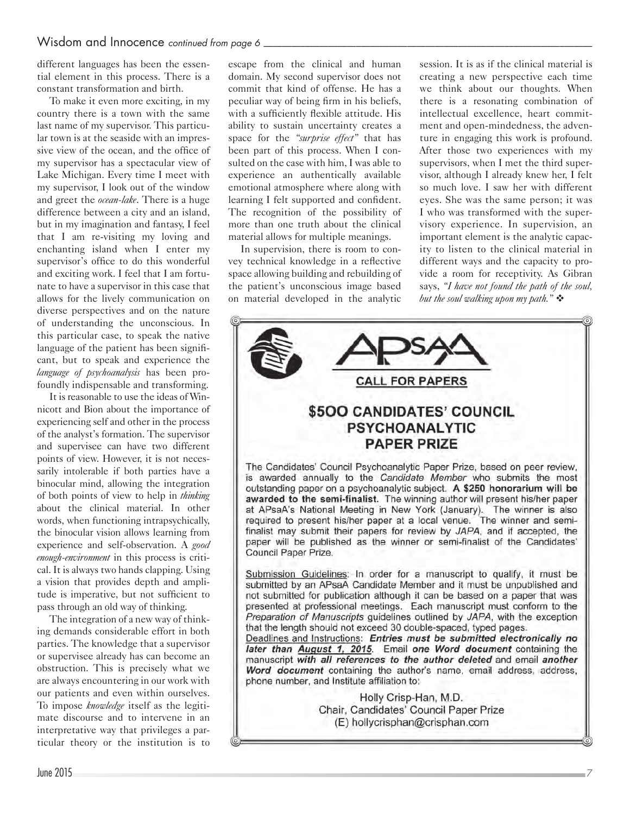different languages has been the essential element in this process. There is a constant transformation and birth.

To make it even more exciting, in my country there is a town with the same last name of my supervisor. This particular town is at the seaside with an impressive view of the ocean, and the office of my supervisor has a spectacular view of Lake Michigan. Every time I meet with my supervisor, I look out of the window and greet the *ocean-lake*. There is a huge difference between a city and an island, but in my imagination and fantasy, I feel that I am re-visiting my loving and enchanting island when I enter my supervisor's office to do this wonderful and exciting work. I feel that I am fortunate to have a supervisor in this case that allows for the lively communication on diverse perspectives and on the nature of understanding the unconscious. In this particular case, to speak the native language of the patient has been significant, but to speak and experience the *language of psychoanalysis* has been profoundly indispensable and transforming.

It is reasonable to use the ideas of Winnicott and Bion about the importance of experiencing self and other in the process of the analyst's formation. The supervisor and supervisee can have two different points of view. However, it is not necessarily intolerable if both parties have a binocular mind, allowing the integration of both points of view to help in *thinking* about the clinical material. In other words, when functioning intrapsychically, the binocular vision allows learning from experience and self-observation. A *good enough-environment* in this process is critical. It is always two hands clapping. Using a vision that provides depth and amplitude is imperative, but not sufficient to pass through an old way of thinking.

The integration of a new way of thinking demands considerable effort in both parties. The knowledge that a supervisor or supervisee already has can become an obstruction. This is precisely what we are always encountering in our work with our patients and even within ourselves. To impose *knowledge* itself as the legitimate discourse and to intervene in an interpretative way that privileges a particular theory or the institution is to

escape from the clinical and human domain. My second supervisor does not commit that kind of offense. He has a peculiar way of being firm in his beliefs, with a sufficiently flexible attitude. His ability to sustain uncertainty creates a space for the *"surprise effect"* that has been part of this process. When I consulted on the case with him, I was able to experience an authentically available emotional atmosphere where along with learning I felt supported and confident. The recognition of the possibility of more than one truth about the clinical material allows for multiple meanings.

In supervision, there is room to convey technical knowledge in a reflective space allowing building and rebuilding of the patient's unconscious image based on material developed in the analytic session. It is as if the clinical material is creating a new perspective each time we think about our thoughts. When there is a resonating combination of intellectual excellence, heart commitment and open-mindedness, the adventure in engaging this work is profound. After those two experiences with my supervisors, when I met the third supervisor, although I already knew her, I felt so much love. I saw her with different eyes. She was the same person; it was I who was transformed with the supervisory experience. In supervision, an important element is the analytic capacity to listen to the clinical material in different ways and the capacity to provide a room for receptivity. As Gibran says, *"I have not found the path of the soul, but the soul walking upon my path.*"



Preparation of Manuscripts guidelines outlined by JAPA, with the exception that the length should not exceed 30 double-spaced, typed pages. Deadlines and Instructions: Entries must be submitted electronically no later than August 1, 2015. Email one Word document containing the manuscript with all references to the author deleted and email another Word document containing the author's name, email address, address,

> Holly Crisp-Han, M.D. Chair, Candidates' Council Paper Prize (E) hollycrisphan@crisphan.com

phone number, and Institute affiliation to: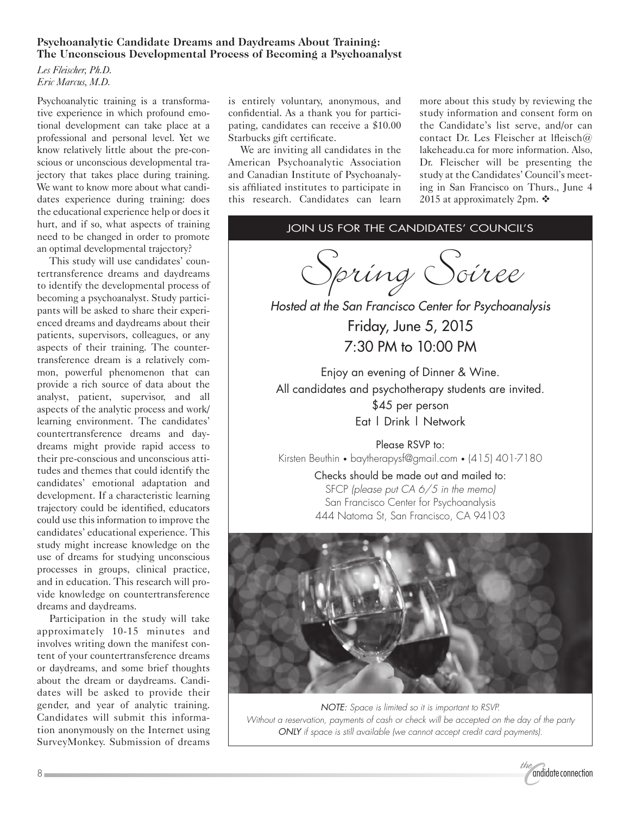### **Psychoanalytic Candidate Dreams and Daydreams About Training: The Unconscious Developmental Process of Becoming a Psychoanalyst**

*Les Fleischer, Ph.D. Eric Marcus, M.D.*

Psychoanalytic training is a transformative experience in which profound emotional development can take place at a professional and personal level. Yet we know relatively little about the pre-conscious or unconscious developmental trajectory that takes place during training. We want to know more about what candidates experience during training: does the educational experience help or does it hurt, and if so, what aspects of training need to be changed in order to promote an optimal developmental trajectory?

This study will use candidates' countertransference dreams and daydreams to identify the developmental process of becoming a psychoanalyst. Study participants will be asked to share their experienced dreams and daydreams about their patients, supervisors, colleagues, or any aspects of their training. The countertransference dream is a relatively common, powerful phenomenon that can provide a rich source of data about the analyst, patient, supervisor, and all aspects of the analytic process and work/ learning environment. The candidates' countertransference dreams and daydreams might provide rapid access to their pre-conscious and unconscious attitudes and themes that could identify the candidates' emotional adaptation and development. If a characteristic learning trajectory could be identified, educators could use this information to improve the candidates' educational experience. This study might increase knowledge on the use of dreams for studying unconscious processes in groups, clinical practice, and in education. This research will provide knowledge on countertransference dreams and daydreams.

Participation in the study will take approximately 10-15 minutes and involves writing down the manifest content of your countertransference dreams or daydreams, and some brief thoughts about the dream or daydreams. Candidates will be asked to provide their gender, and year of analytic training. Candidates will submit this information anonymously on the Internet using SurveyMonkey. Submission of dreams is entirely voluntary, anonymous, and confidential. As a thank you for participating, candidates can receive a \$10.00 Starbucks gift certificate.

We are inviting all candidates in the American Psychoanalytic Association and Canadian Institute of Psychoanalysis affiliated institutes to participate in this research. Candidates can learn

more about this study by reviewing the study information and consent form on the Candidate's list serve, and/or can contact Dr. Les Fleischer at lfleisch@ lakeheadu.ca for more information. Also, Dr. Fleischer will be presenting the study at the Candidates' Council's meeting in San Francisco on Thurs., June 4 2015 at approximately 2pm.  $\mathbf{\hat{P}}$ 

# Join us for The Candidates' Council's

Spring Soiree

*Hosted at the San Francisco Center for Psychoanalysis* Friday, June 5, 2015 7:30 PM to 10:00 PM

Enjoy an evening of Dinner & Wine. All candidates and psychotherapy students are invited. \$45 per person

Eat | Drink | Network

Please RSVP to: Kirsten Beuthin • baytherapysf@gmail.com • (415) 401-7180

> Checks should be made out and mailed to: SFCP *(please put CA 6/5 in the memo)* San Francisco Center for Psychoanalysis 444 Natoma St, San Francisco, CA 94103



*NOTE: Space is limited so it is important to RSVP. Without a reservation, payments of cash or check will be accepted on the day of the party ONLY if space is still available (we cannot accept credit card payments).*

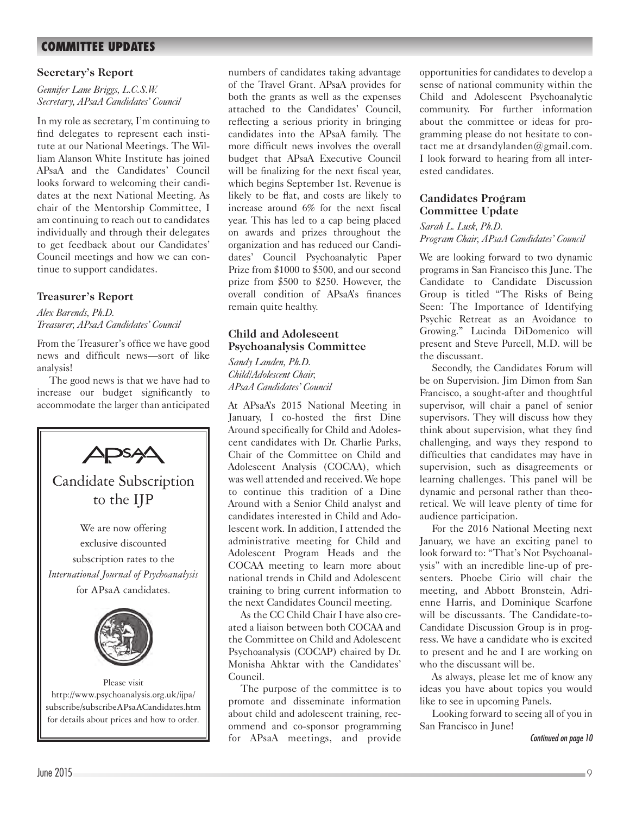# **COMMITTEE UPDATES**

#### **Secretary's Report**

*Gennifer Lane Briggs, L.C.S.W. Secretary, APsaA Candidates' Council*

In my role as secretary, I'm continuing to find delegates to represent each institute at our National Meetings. The William Alanson White Institute has joined APsaA and the Candidates' Council looks forward to welcoming their candidates at the next National Meeting. As chair of the Mentorship Committee, I am continuing to reach out to candidates individually and through their delegates to get feedback about our Candidates' Council meetings and how we can continue to support candidates.

### **Treasurer's Report**

*Alex Barends, Ph.D. Treasurer, APsaA Candidates' Council*

From the Treasurer's office we have good news and difficult news—sort of like analysis!

The good news is that we have had to increase our budget significantly to accommodate the larger than anticipated



http://www.psychoanalysis.org.uk/ijpa/ subscribe/subscribeAPsaACandidates.htm for details about prices and how to order.

numbers of candidates taking advantage of the Travel Grant. APsaA provides for both the grants as well as the expenses attached to the Candidates' Council, reflecting a serious priority in bringing candidates into the APsaA family. The more difficult news involves the overall budget that APsaA Executive Council will be finalizing for the next fiscal year, which begins September 1st. Revenue is likely to be flat, and costs are likely to increase around 6% for the next fiscal year. This has led to a cap being placed on awards and prizes throughout the organization and has reduced our Candidates' Council Psychoanalytic Paper Prize from \$1000 to \$500, and our second prize from \$500 to \$250. However, the overall condition of APsaA's finances remain quite healthy.

## **Child and Adolescent Psychoanalysis Committee**

*Sandy Landen, Ph.D. Child/Adolescent Chair, APsaA Candidates' Council*

At APsaA's 2015 National Meeting in January, I co-hosted the first Dine Around specifically for Child and Adolescent candidates with Dr. Charlie Parks, Chair of the Committee on Child and Adolescent Analysis (COCAA), which was well attended and received. We hope to continue this tradition of a Dine Around with a Senior Child analyst and candidates interested in Child and Adolescent work. In addition, I attended the administrative meeting for Child and Adolescent Program Heads and the COCAA meeting to learn more about national trends in Child and Adolescent training to bring current information to the next Candidates Council meeting.

As the CC Child Chair I have also created a liaison between both COCAA and the Committee on Child and Adolescent Psychoanalysis (COCAP) chaired by Dr. Monisha Ahktar with the Candidates' Council.

The purpose of the committee is to promote and disseminate information about child and adolescent training, recommend and co-sponsor programming for APsaA meetings, and provide opportunities for candidates to develop a sense of national community within the Child and Adolescent Psychoanalytic community. For further information about the committee or ideas for programming please do not hesitate to contact me at drsandylanden@gmail.com. I look forward to hearing from all interested candidates.

#### **Candidates Program Committee Update**

*Sarah L. Lusk, Ph.D. Program Chair, APsaA Candidates' Council*

We are looking forward to two dynamic programs in San Francisco this June. The Candidate to Candidate Discussion Group is titled "The Risks of Being Seen: The Importance of Identifying Psychic Retreat as an Avoidance to Growing." Lucinda DiDomenico will present and Steve Purcell, M.D. will be the discussant.

Secondly, the Candidates Forum will be on Supervision. Jim Dimon from San Francisco, a sought-after and thoughtful supervisor, will chair a panel of senior supervisors. They will discuss how they think about supervision, what they find challenging, and ways they respond to difficulties that candidates may have in supervision, such as disagreements or learning challenges. This panel will be dynamic and personal rather than theoretical. We will leave plenty of time for audience participation.

For the 2016 National Meeting next January, we have an exciting panel to look forward to: "That's Not Psychoanalysis" with an incredible line-up of presenters. Phoebe Cirio will chair the meeting, and Abbott Bronstein, Adrienne Harris, and Dominique Scarfone will be discussants. The Candidate-to-Candidate Discussion Group is in progress. We have a candidate who is excited to present and he and I are working on who the discussant will be.

As always, please let me of know any ideas you have about topics you would like to see in upcoming Panels.

Looking forward to seeing all of you in San Francisco in June!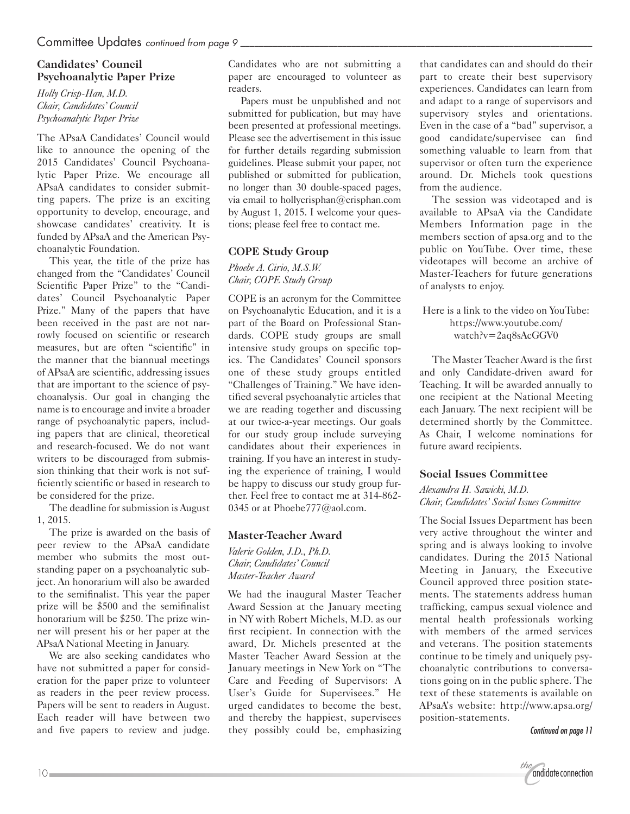#### **Candidates' Council Psychoanalytic Paper Prize**

*Holly Crisp-Han, M.D. Chair, Candidates' Council Psychoanalytic Paper Prize*

The APsaA Candidates' Council would like to announce the opening of the 2015 Candidates' Council Psychoanalytic Paper Prize. We encourage all APsaA candidates to consider submitting papers. The prize is an exciting opportunity to develop, encourage, and showcase candidates' creativity. It is funded by APsaA and the American Psychoanalytic Foundation.

This year, the title of the prize has changed from the "Candidates' Council Scientific Paper Prize" to the "Candidates' Council Psychoanalytic Paper Prize." Many of the papers that have been received in the past are not narrowly focused on scientific or research measures, but are often "scientific" in the manner that the biannual meetings of APsaA are scientific, addressing issues that are important to the science of psychoanalysis. Our goal in changing the name is to encourage and invite a broader range of psychoanalytic papers, including papers that are clinical, theoretical and research-focused. We do not want writers to be discouraged from submission thinking that their work is not sufficiently scientific or based in research to be considered for the prize.

The deadline for submission is August 1, 2015.

The prize is awarded on the basis of peer review to the APsaA candidate member who submits the most outstanding paper on a psychoanalytic subject. An honorarium will also be awarded to the semifinalist. This year the paper prize will be \$500 and the semifinalist honorarium will be \$250. The prize winner will present his or her paper at the APsaA National Meeting in January.

We are also seeking candidates who have not submitted a paper for consideration for the paper prize to volunteer as readers in the peer review process. Papers will be sent to readers in August. Each reader will have between two and five papers to review and judge.

Candidates who are not submitting a paper are encouraged to volunteer as readers.

Papers must be unpublished and not submitted for publication, but may have been presented at professional meetings. Please see the advertisement in this issue for further details regarding submission guidelines. Please submit your paper, not published or submitted for publication, no longer than 30 double-spaced pages, via email to hollycrisphan@crisphan.com by August 1, 2015. I welcome your questions; please feel free to contact me.

## **COPE Study Group**

*Phoebe A. Cirio, M.S.W. Chair, COPE Study Group*

COPE is an acronym for the Committee on Psychoanalytic Education, and it is a part of the Board on Professional Standards. COPE study groups are small intensive study groups on specific topics. The Candidates' Council sponsors one of these study groups entitled "Challenges of Training." We have identified several psychoanalytic articles that we are reading together and discussing at our twice-a-year meetings. Our goals for our study group include surveying candidates about their experiences in training. If you have an interest in studying the experience of training, I would be happy to discuss our study group further. Feel free to contact me at 314-862- 0345 or at Phoebe777@aol.com.

## **Master-Teacher Award**

*Valerie Golden, J.D., Ph.D. Chair, Candidates' Council Master-Teacher Award*

We had the inaugural Master Teacher Award Session at the January meeting in NY with Robert Michels, M.D. as our first recipient. In connection with the award, Dr. Michels presented at the Master Teacher Award Session at the January meetings in New York on "The Care and Feeding of Supervisors: A User's Guide for Supervisees." He urged candidates to become the best, and thereby the happiest, supervisees they possibly could be, emphasizing that candidates can and should do their part to create their best supervisory experiences. Candidates can learn from and adapt to a range of supervisors and supervisory styles and orientations. Even in the case of a "bad" supervisor, a good candidate/supervisee can find something valuable to learn from that supervisor or often turn the experience around. Dr. Michels took questions from the audience.

The session was videotaped and is available to APsaA via the Candidate Members Information page in the members section of apsa.org and to the public on YouTube. Over time, these videotapes will become an archive of Master-Teachers for future generations of analysts to enjoy.

Here is a link to the video on YouTube: https://www.youtube.com/ watch?v=2aq8sAcGGV0

The Master Teacher Award is the first and only Candidate-driven award for Teaching. It will be awarded annually to one recipient at the National Meeting each January. The next recipient will be determined shortly by the Committee. As Chair, I welcome nominations for future award recipients.

## **Social Issues Committee**

*Alexandra H. Sawicki, M.D. Chair, Candidates' Social Issues Committee*

The Social Issues Department has been very active throughout the winter and spring and is always looking to involve candidates. During the 2015 National Meeting in January, the Executive Council approved three position statements. The statements address human trafficking, campus sexual violence and mental health professionals working with members of the armed services and veterans. The position statements continue to be timely and uniquely psychoanalytic contributions to conversations going on in the public sphere. The text of these statements is available on APsaA's website: http://www.apsa.org/ position-statements.

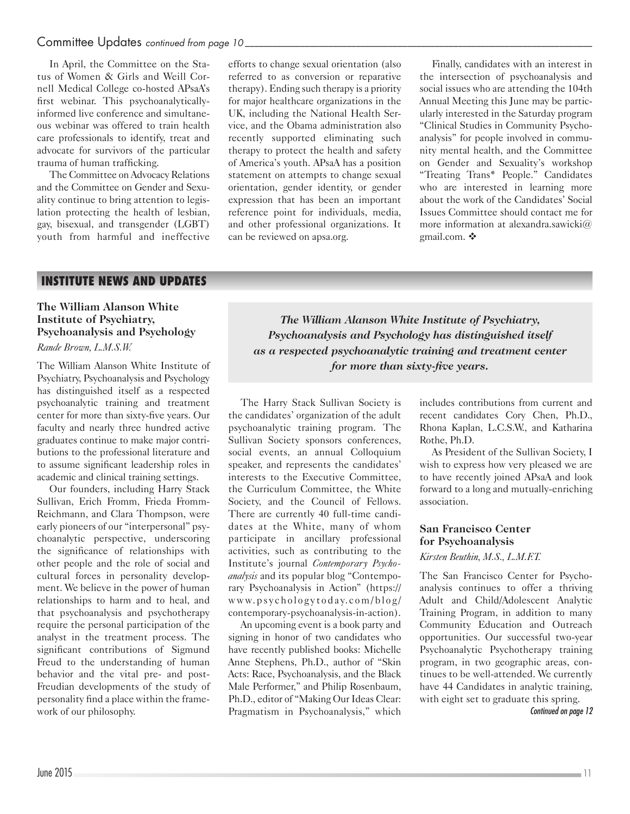#### Committee Updates *continued from page 10*

In April, the Committee on the Status of Women & Girls and Weill Cornell Medical College co-hosted APsaA's first webinar. This psychoanalyticallyinformed live conference and simultaneous webinar was offered to train health care professionals to identify, treat and advocate for survivors of the particular trauma of human trafficking.

The Committee on Advocacy Relations and the Committee on Gender and Sexuality continue to bring attention to legislation protecting the health of lesbian, gay, bisexual, and transgender (LGBT) youth from harmful and ineffective

efforts to change sexual orientation (also referred to as conversion or reparative therapy). Ending such therapy is a priority for major healthcare organizations in the UK, including the National Health Service, and the Obama administration also recently supported eliminating such therapy to protect the health and safety of America's youth. APsaA has a position statement on attempts to change sexual orientation, gender identity, or gender expression that has been an important reference point for individuals, media, and other professional organizations. It can be reviewed on apsa.org.

Finally, candidates with an interest in the intersection of psychoanalysis and social issues who are attending the 104th Annual Meeting this June may be particularly interested in the Saturday program "Clinical Studies in Community Psychoanalysis" for people involved in community mental health, and the Committee on Gender and Sexuality's workshop "Treating Trans\* People." Candidates who are interested in learning more about the work of the Candidates' Social Issues Committee should contact me for more information at alexandra.sawicki@ gmail.com. ❖

## **INSTITUTE NEWS AND UPDATES**

#### **The William Alanson White Institute of Psychiatry, Psychoanalysis and Psychology**

#### *Rande Brown, L.M.S.W.*

The William Alanson White Institute of Psychiatry, Psychoanalysis and Psychology has distinguished itself as a respected psychoanalytic training and treatment center for more than sixty-five years. Our faculty and nearly three hundred active graduates continue to make major contributions to the professional literature and to assume significant leadership roles in academic and clinical training settings.

Our founders, including Harry Stack Sullivan, Erich Fromm, Frieda Fromm-Reichmann, and Clara Thompson, were early pioneers of our "interpersonal" psychoanalytic perspective, underscoring the significance of relationships with other people and the role of social and cultural forces in personality development. We believe in the power of human relationships to harm and to heal, and that psychoanalysis and psychotherapy require the personal participation of the analyst in the treatment process. The significant contributions of Sigmund Freud to the understanding of human behavior and the vital pre- and post-Freudian developments of the study of personality find a place within the framework of our philosophy.

*The William Alanson White Institute of Psychiatry, Psychoanalysis and Psychology has distinguished itself as a respected psychoanalytic training and treatment center for more than sixty-five years.*

The Harry Stack Sullivan Society is the candidates' organization of the adult psychoanalytic training program. The Sullivan Society sponsors conferences, social events, an annual Colloquium speaker, and represents the candidates' interests to the Executive Committee, the Curriculum Committee, the White Society, and the Council of Fellows. There are currently 40 full-time candidates at the White, many of whom participate in ancillary professional activities, such as contributing to the Institute's journal *Contemporary Psychoanalysis* and its popular blog "Contemporary Psychoanalysis in Action" (https:// www.psychologytoday.com/blog/ contemporary-psychoanalysis-in-action).

An upcoming event is a book party and signing in honor of two candidates who have recently published books: Michelle Anne Stephens, Ph.D., author of "Skin Acts: Race, Psychoanalysis, and the Black Male Performer," and Philip Rosenbaum, Ph.D., editor of "Making Our Ideas Clear: Pragmatism in Psychoanalysis," which includes contributions from current and recent candidates Cory Chen, Ph.D., Rhona Kaplan, L.C.S.W., and Katharina Rothe, Ph.D.

As President of the Sullivan Society, I wish to express how very pleased we are to have recently joined APsaA and look forward to a long and mutually-enriching association.

# **San Francisco Center for Psychoanalysis**

*Kirsten Beuthin, M.S., L.M.F.T.*

The San Francisco Center for Psychoanalysis continues to offer a thriving Adult and Child/Adolescent Analytic Training Program, in addition to many Community Education and Outreach opportunities. Our successful two-year Psychoanalytic Psychotherapy training program, in two geographic areas, continues to be well-attended. We currently have 44 Candidates in analytic training, with eight set to graduate this spring.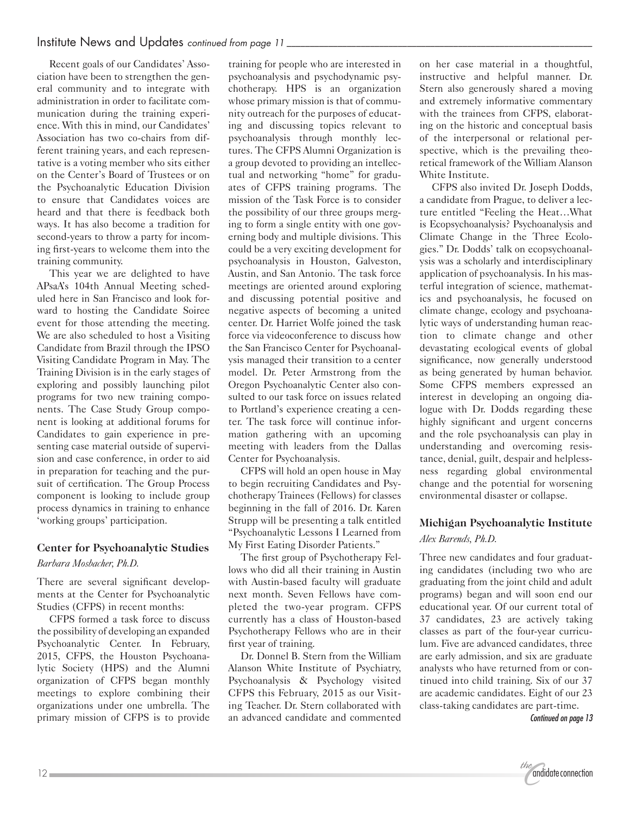Recent goals of our Candidates' Association have been to strengthen the general community and to integrate with administration in order to facilitate communication during the training experience. With this in mind, our Candidates' Association has two co-chairs from different training years, and each representative is a voting member who sits either on the Center's Board of Trustees or on the Psychoanalytic Education Division to ensure that Candidates voices are heard and that there is feedback both ways. It has also become a tradition for second-years to throw a party for incoming first-years to welcome them into the training community.

This year we are delighted to have APsaA's 104th Annual Meeting scheduled here in San Francisco and look forward to hosting the Candidate Soiree event for those attending the meeting. We are also scheduled to host a Visiting Candidate from Brazil through the IPSO Visiting Candidate Program in May. The Training Division is in the early stages of exploring and possibly launching pilot programs for two new training components. The Case Study Group component is looking at additional forums for Candidates to gain experience in presenting case material outside of supervision and case conference, in order to aid in preparation for teaching and the pursuit of certification. The Group Process component is looking to include group process dynamics in training to enhance 'working groups' participation.

## **Center for Psychoanalytic Studies**

*Barbara Mosbacher, Ph.D.*

There are several significant developments at the Center for Psychoanalytic Studies (CFPS) in recent months:

CFPS formed a task force to discuss the possibility of developing an expanded Psychoanalytic Center. In February, 2015, CFPS, the Houston Psychoanalytic Society (HPS) and the Alumni organization of CFPS began monthly meetings to explore combining their organizations under one umbrella. The primary mission of CFPS is to provide

training for people who are interested in psychoanalysis and psychodynamic psychotherapy. HPS is an organization whose primary mission is that of community outreach for the purposes of educating and discussing topics relevant to psychoanalysis through monthly lectures. The CFPS Alumni Organization is a group devoted to providing an intellectual and networking "home" for graduates of CFPS training programs. The mission of the Task Force is to consider the possibility of our three groups merging to form a single entity with one governing body and multiple divisions. This could be a very exciting development for psychoanalysis in Houston, Galveston, Austin, and San Antonio. The task force meetings are oriented around exploring and discussing potential positive and negative aspects of becoming a united center. Dr. Harriet Wolfe joined the task force via videoconference to discuss how the San Francisco Center for Psychoanalysis managed their transition to a center model. Dr. Peter Armstrong from the Oregon Psychoanalytic Center also consulted to our task force on issues related to Portland's experience creating a center. The task force will continue information gathering with an upcoming meeting with leaders from the Dallas Center for Psychoanalysis.

CFPS will hold an open house in May to begin recruiting Candidates and Psychotherapy Trainees (Fellows) for classes beginning in the fall of 2016. Dr. Karen Strupp will be presenting a talk entitled "Psychoanalytic Lessons I Learned from My First Eating Disorder Patients."

The first group of Psychotherapy Fellows who did all their training in Austin with Austin-based faculty will graduate next month. Seven Fellows have completed the two-year program. CFPS currently has a class of Houston-based Psychotherapy Fellows who are in their first year of training.

Dr. Donnel B. Stern from the William Alanson White Institute of Psychiatry, Psychoanalysis & Psychology visited CFPS this February, 2015 as our Visiting Teacher. Dr. Stern collaborated with an advanced candidate and commented on her case material in a thoughtful, instructive and helpful manner. Dr. Stern also generously shared a moving and extremely informative commentary with the trainees from CFPS, elaborating on the historic and conceptual basis of the interpersonal or relational perspective, which is the prevailing theoretical framework of the William Alanson White Institute.

CFPS also invited Dr. Joseph Dodds, a candidate from Prague, to deliver a lecture entitled "Feeling the Heat…What is Ecopsychoanalysis? Psychoanalysis and Climate Change in the Three Ecologies." Dr. Dodds' talk on ecopsychoanalysis was a scholarly and interdisciplinary application of psychoanalysis. In his masterful integration of science, mathematics and psychoanalysis, he focused on climate change, ecology and psychoanalytic ways of understanding human reaction to climate change and other devastating ecological events of global significance, now generally understood as being generated by human behavior. Some CFPS members expressed an interest in developing an ongoing dialogue with Dr. Dodds regarding these highly significant and urgent concerns and the role psychoanalysis can play in understanding and overcoming resistance, denial, guilt, despair and helplessness regarding global environmental change and the potential for worsening environmental disaster or collapse.

# **Michigan Psychoanalytic Institute** *Alex Barends, Ph.D.*

Three new candidates and four graduating candidates (including two who are graduating from the joint child and adult programs) began and will soon end our educational year. Of our current total of 37 candidates, 23 are actively taking classes as part of the four-year curriculum. Five are advanced candidates, three are early admission, and six are graduate analysts who have returned from or continued into child training. Six of our 37 are academic candidates. Eight of our 23 class-taking candidates are part-time.